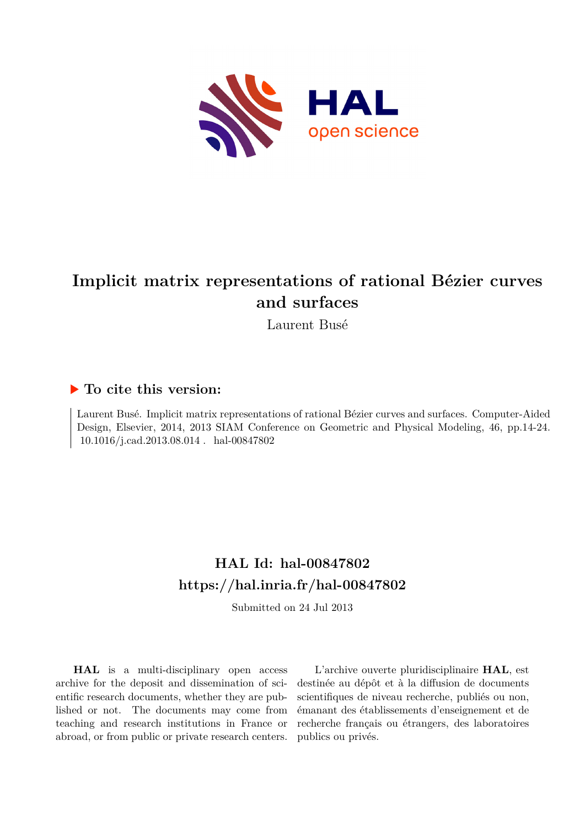

# **Implicit matrix representations of rational Bézier curves and surfaces**

Laurent Busé

# **To cite this version:**

Laurent Busé. Implicit matrix representations of rational Bézier curves and surfaces. Computer-Aided Design, Elsevier, 2014, 2013 SIAM Conference on Geometric and Physical Modeling, 46, pp.14-24. 10.1016/j.cad.2013.08.014 hal-00847802

# **HAL Id: hal-00847802 <https://hal.inria.fr/hal-00847802>**

Submitted on 24 Jul 2013

**HAL** is a multi-disciplinary open access archive for the deposit and dissemination of scientific research documents, whether they are published or not. The documents may come from teaching and research institutions in France or abroad, or from public or private research centers.

L'archive ouverte pluridisciplinaire **HAL**, est destinée au dépôt et à la diffusion de documents scientifiques de niveau recherche, publiés ou non, émanant des établissements d'enseignement et de recherche français ou étrangers, des laboratoires publics ou privés.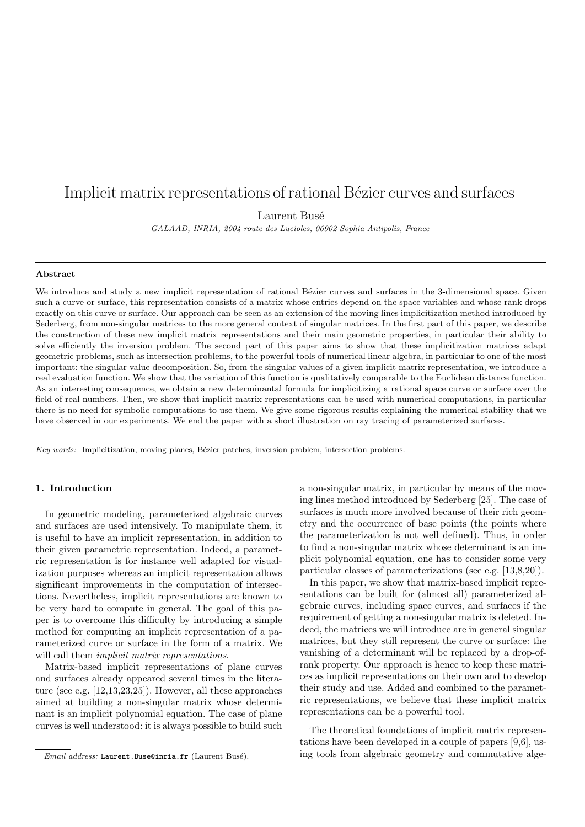# Implicit matrix representations of rational Bézier curves and surfaces

Laurent Busé

GALAAD, INRIA, 2004 route des Lucioles, 06902 Sophia Antipolis, France

# Abstract

We introduce and study a new implicit representation of rational Bézier curves and surfaces in the 3-dimensional space. Given such a curve or surface, this representation consists of a matrix whose entries depend on the space variables and whose rank drops exactly on this curve or surface. Our approach can be seen as an extension of the moving lines implicitization method introduced by Sederberg, from non-singular matrices to the more general context of singular matrices. In the first part of this paper, we describe the construction of these new implicit matrix representations and their main geometric properties, in particular their ability to solve efficiently the inversion problem. The second part of this paper aims to show that these implicitization matrices adapt geometric problems, such as intersection problems, to the powerful tools of numerical linear algebra, in particular to one of the most important: the singular value decomposition. So, from the singular values of a given implicit matrix representation, we introduce a real evaluation function. We show that the variation of this function is qualitatively comparable to the Euclidean distance function. As an interesting consequence, we obtain a new determinantal formula for implicitizing a rational space curve or surface over the field of real numbers. Then, we show that implicit matrix representations can be used with numerical computations, in particular there is no need for symbolic computations to use them. We give some rigorous results explaining the numerical stability that we have observed in our experiments. We end the paper with a short illustration on ray tracing of parameterized surfaces.

Key words: Implicitization, moving planes, Bézier patches, inversion problem, intersection problems.

# 1. Introduction

In geometric modeling, parameterized algebraic curves and surfaces are used intensively. To manipulate them, it is useful to have an implicit representation, in addition to their given parametric representation. Indeed, a parametric representation is for instance well adapted for visualization purposes whereas an implicit representation allows significant improvements in the computation of intersections. Nevertheless, implicit representations are known to be very hard to compute in general. The goal of this paper is to overcome this difficulty by introducing a simple method for computing an implicit representation of a parameterized curve or surface in the form of a matrix. We will call them *implicit matrix representations*.

Matrix-based implicit representations of plane curves and surfaces already appeared several times in the literature (see e.g. [12,13,23,25]). However, all these approaches aimed at building a non-singular matrix whose determinant is an implicit polynomial equation. The case of plane curves is well understood: it is always possible to build such

a non-singular matrix, in particular by means of the moving lines method introduced by Sederberg [25]. The case of surfaces is much more involved because of their rich geometry and the occurrence of base points (the points where the parameterization is not well defined). Thus, in order to find a non-singular matrix whose determinant is an implicit polynomial equation, one has to consider some very particular classes of parameterizations (see e.g. [13,8,20]).

In this paper, we show that matrix-based implicit representations can be built for (almost all) parameterized algebraic curves, including space curves, and surfaces if the requirement of getting a non-singular matrix is deleted. Indeed, the matrices we will introduce are in general singular matrices, but they still represent the curve or surface: the vanishing of a determinant will be replaced by a drop-ofrank property. Our approach is hence to keep these matrices as implicit representations on their own and to develop their study and use. Added and combined to the parametric representations, we believe that these implicit matrix representations can be a powerful tool.

The theoretical foundations of implicit matrix representations have been developed in a couple of papers [9,6], using tools from algebraic geometry and commutative alge-

Email address: Laurent.Buse@inria.fr (Laurent Busé).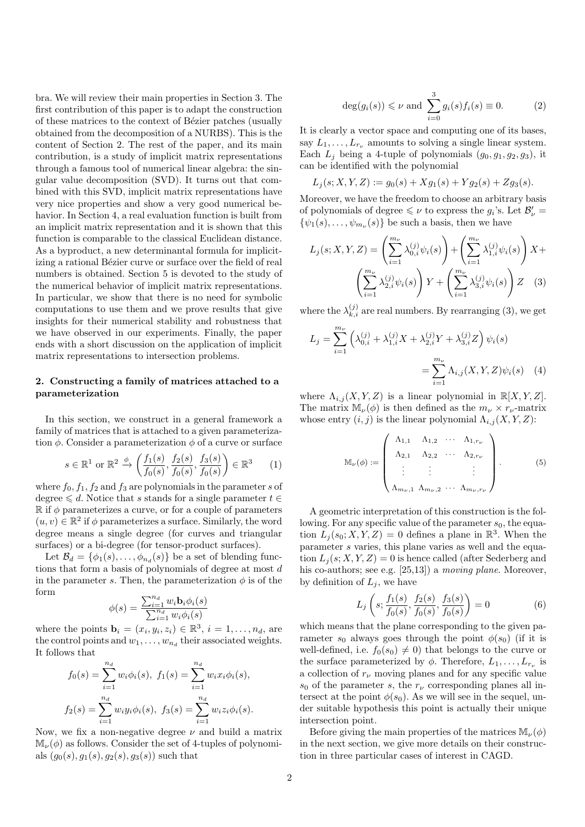bra. We will review their main properties in Section 3. The first contribution of this paper is to adapt the construction of these matrices to the context of Bézier patches (usually obtained from the decomposition of a NURBS). This is the content of Section 2. The rest of the paper, and its main contribution, is a study of implicit matrix representations through a famous tool of numerical linear algebra: the singular value decomposition (SVD). It turns out that combined with this SVD, implicit matrix representations have very nice properties and show a very good numerical behavior. In Section 4, a real evaluation function is built from an implicit matrix representation and it is shown that this function is comparable to the classical Euclidean distance. As a byproduct, a new determinantal formula for implicitizing a rational Bézier curve or surface over the field of real numbers is obtained. Section 5 is devoted to the study of the numerical behavior of implicit matrix representations. In particular, we show that there is no need for symbolic computations to use them and we prove results that give insights for their numerical stability and robustness that we have observed in our experiments. Finally, the paper ends with a short discussion on the application of implicit matrix representations to intersection problems.

# 2. Constructing a family of matrices attached to a parameterization

In this section, we construct in a general framework a family of matrices that is attached to a given parameterization  $\phi$ . Consider a parameterization  $\phi$  of a curve or surface

$$
s \in \mathbb{R}^1
$$
 or  $\mathbb{R}^2 \xrightarrow{\phi} \left( \frac{f_1(s)}{f_0(s)}, \frac{f_2(s)}{f_0(s)}, \frac{f_3(s)}{f_0(s)} \right) \in \mathbb{R}^3$  (1)

where  $f_0, f_1, f_2$  and  $f_3$  are polynomials in the parameter s of degree  $\leq d$ . Notice that s stands for a single parameter  $t \in$  $\mathbb R$  if  $\phi$  parameterizes a curve, or for a couple of parameters  $(u, v) \in \mathbb{R}^2$  if  $\phi$  parameterizes a surface. Similarly, the word degree means a single degree (for curves and triangular surfaces) or a bi-degree (for tensor-product surfaces).

Let  $\mathcal{B}_d = \{\phi_1(s), \ldots, \phi_{n_d}(s)\}\$ be a set of blending functions that form a basis of polynomials of degree at most d in the parameter s. Then, the parameterization  $\phi$  is of the form

$$
\phi(s) = \frac{\sum_{i=1}^{n_d} w_i \mathbf{b}_i \phi_i(s)}{\sum_{i=1}^{n_d} w_i \phi_i(s)}
$$

where the points  $\mathbf{b}_i = (x_i, y_i, z_i) \in \mathbb{R}^3$ ,  $i = 1, \ldots, n_d$ , are the control points and  $w_1, \ldots, w_{n_d}$  their associated weights. It follows that

$$
f_0(s) = \sum_{i=1}^{n_d} w_i \phi_i(s), \ f_1(s) = \sum_{i=1}^{n_d} w_i x_i \phi_i(s),
$$

$$
f_2(s) = \sum_{i=1}^{n_d} w_i y_i \phi_i(s), \ f_3(s) = \sum_{i=1}^{n_d} w_i z_i \phi_i(s).
$$

Now, we fix a non-negative degree  $\nu$  and build a matrix  $\mathbb{M}_{\nu}(\phi)$  as follows. Consider the set of 4-tuples of polynomials  $(g_0(s), g_1(s), g_2(s), g_3(s))$  such that

$$
\deg(g_i(s)) \leq \nu \text{ and } \sum_{i=0}^3 g_i(s) f_i(s) \equiv 0. \tag{2}
$$

It is clearly a vector space and computing one of its bases, say  $L_1, \ldots, L_{r_{\nu}}$  amounts to solving a single linear system. Each  $L_j$  being a 4-tuple of polynomials  $(g_0, g_1, g_2, g_3)$ , it can be identified with the polynomial

$$
L_j(s; X, Y, Z) := g_0(s) + Xg_1(s) + Yg_2(s) + Zg_3(s).
$$

Moreover, we have the freedom to choose an arbitrary basis of polynomials of degree  $\leq \nu$  to express the  $g_i$ 's. Let  $\mathcal{B}'_{\nu}$  =  $\{\psi_1(s), \ldots, \psi_{m_{\nu}}(s)\}\$ be such a basis, then we have

$$
L_j(s; X, Y, Z) = \left(\sum_{i=1}^{m_{\nu}} \lambda_{0,i}^{(j)} \psi_i(s)\right) + \left(\sum_{i=1}^{m_{\nu}} \lambda_{1,i}^{(j)} \psi_i(s)\right) X + \left(\sum_{i=1}^{m_{\nu}} \lambda_{2,i}^{(j)} \psi_i(s)\right) Y + \left(\sum_{i=1}^{m_{\nu}} \lambda_{3,i}^{(j)} \psi_i(s)\right) Z \quad (3)
$$

where the  $\lambda_{k,i}^{(j)}$  are real numbers. By rearranging (3), we get

$$
L_j = \sum_{i=1}^{m_{\nu}} \left( \lambda_{0,i}^{(j)} + \lambda_{1,i}^{(j)} X + \lambda_{2,i}^{(j)} Y + \lambda_{3,i}^{(j)} Z \right) \psi_i(s)
$$
  
= 
$$
\sum_{i=1}^{m_{\nu}} \Lambda_{i,j} (X, Y, Z) \psi_i(s)
$$
 (4)

where  $\Lambda_{i,j}(X, Y, Z)$  is a linear polynomial in  $\mathbb{R}[X, Y, Z]$ . The matrix  $\mathbb{M}_{\nu}(\phi)$  is then defined as the  $m_{\nu} \times r_{\nu}$ -matrix whose entry  $(i, j)$  is the linear polynomial  $\Lambda_{i,j}(X, Y, Z)$ :

$$
\mathbb{M}_{\nu}(\phi) := \begin{pmatrix} \Lambda_{1,1} & \Lambda_{1,2} & \cdots & \Lambda_{1,r_{\nu}} \\ \Lambda_{2,1} & \Lambda_{2,2} & \cdots & \Lambda_{2,r_{\nu}} \\ \vdots & \vdots & & \vdots \\ \Lambda_{m_{\nu},1} & \Lambda_{m_{\nu},2} & \cdots & \Lambda_{m_{\nu},r_{\nu}} \end{pmatrix} .
$$
 (5)

A geometric interpretation of this construction is the following. For any specific value of the parameter  $s_0$ , the equation  $L_j(s_0; X, Y, Z) = 0$  defines a plane in  $\mathbb{R}^3$ . When the parameter s varies, this plane varies as well and the equation  $L_i(s; X, Y, Z) = 0$  is hence called (after Sederberg and his co-authors; see e.g. [25,13]) a *moving plane*. Moreover, by definition of  $L_i$ , we have

$$
L_j\left(s; \frac{f_1(s)}{f_0(s)}, \frac{f_2(s)}{f_0(s)}, \frac{f_3(s)}{f_0(s)}\right) = 0\tag{6}
$$

which means that the plane corresponding to the given parameter  $s_0$  always goes through the point  $\phi(s_0)$  (if it is well-defined, i.e.  $f_0(s_0) \neq 0$  that belongs to the curve or the surface parameterized by  $\phi$ . Therefore,  $L_1, \ldots, L_{r_{\nu}}$  is a collection of  $r_{\nu}$  moving planes and for any specific value  $s_0$  of the parameter s, the  $r_\nu$  corresponding planes all intersect at the point  $\phi(s_0)$ . As we will see in the sequel, under suitable hypothesis this point is actually their unique intersection point.

Before giving the main properties of the matrices  $\mathbb{M}_{\nu}(\phi)$ in the next section, we give more details on their construction in three particular cases of interest in CAGD.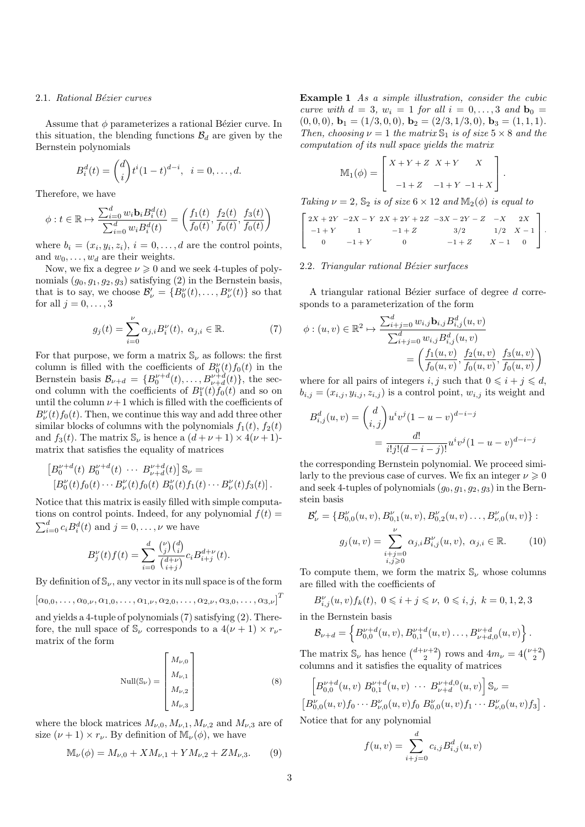#### 2.1. Rational Bézier curves

Assume that  $\phi$  parameterizes a rational Bézier curve. In this situation, the blending functions  $\mathcal{B}_d$  are given by the Bernstein polynomials

$$
B_i^d(t) = \binom{d}{i} t^i (1-t)^{d-i}, \ \ i = 0, \dots, d.
$$

Therefore, we have

$$
\phi: t \in \mathbb{R} \mapsto \frac{\sum_{i=0}^{d} w_i \mathbf{b}_i B_i^d(t)}{\sum_{i=0}^{d} w_i B_i^d(t)} = \left(\frac{f_1(t)}{f_0(t)}, \frac{f_2(t)}{f_0(t)}, \frac{f_3(t)}{f_0(t)}\right)
$$

where  $b_i = (x_i, y_i, z_i), i = 0, \ldots, d$  are the control points, and  $w_0, \ldots, w_d$  are their weights.

Now, we fix a degree  $\nu \geq 0$  and we seek 4-tuples of polynomials  $(g_0, g_1, g_2, g_3)$  satisfying (2) in the Bernstein basis, that is to say, we choose  $\mathcal{B}'_{\nu} = \{B_0^{\nu}(t), \ldots, B_{\nu}^{\nu}(t)\}\$  so that for all  $j = 0, \ldots, 3$ 

$$
g_j(t) = \sum_{i=0}^{\nu} \alpha_{j,i} B_i^{\nu}(t), \ \alpha_{j,i} \in \mathbb{R}.
$$
 (7)

For that purpose, we form a matrix  $\mathcal{S}_{\nu}$  as follows: the first column is filled with the coefficients of  $B_0^{\nu}(t) f_0(t)$  in the Bernstein basis  $\mathcal{B}_{\nu+d} = \{B_0^{\nu+d}(t), \ldots, B_{\nu+d}^{\nu+d}(t)\},\$  the second column with the coefficients of  $B_1^{\nu}(t) f_0(t)$  and so on until the column  $\nu + 1$  which is filled with the coefficients of  $B_{\nu}^{\nu}(t) f_0(t)$ . Then, we continue this way and add three other similar blocks of columns with the polynomials  $f_1(t)$ ,  $f_2(t)$ and  $f_3(t)$ . The matrix  $\mathbb{S}_{\nu}$  is hence a  $(d + \nu + 1) \times 4(\nu + 1)$ matrix that satisfies the equality of matrices

$$
\begin{aligned} \left[B_0^{\nu+d}(t) \ B_0^{\nu+d}(t) \ \cdots \ B_{\nu+d}^{\nu+d}(t) \right] \mathbb{S}_{\nu} &= \\ \left[B_0^{\nu}(t) f_0(t) \cdots B_{\nu}^{\nu}(t) f_0(t) \ B_0^{\nu}(t) f_1(t) \cdots B_{\nu}^{\nu}(t) f_3(t) \right]. \end{aligned}
$$

Notice that this matrix is easily filled with simple computations on control points. Indeed, for any polynomial  $f(t) =$  $\sum_{i=0}^{d} c_i B_i^d(t)$  and  $j = 0, \ldots, \nu$  we have

$$
B_j^{\nu}(t)f(t) = \sum_{i=0}^d \frac{\binom{\nu}{j}\binom{d}{i}}{\binom{d+\nu}{i+j}} c_i B_{i+j}^{d+\nu}(t).
$$

By definition of  $\mathbb{S}_{\nu}$ , any vector in its null space is of the form

$$
[\alpha_{0,0},\ldots,\alpha_{0,\nu},\alpha_{1,0},\ldots,\alpha_{1,\nu},\alpha_{2,0},\ldots,\alpha_{2,\nu},\alpha_{3,0},\ldots,\alpha_{3,\nu}]^T
$$

and yields a 4-tuple of polynomials (7) satisfying (2). Therefore, the null space of  $\mathbb{S}_{\nu}$  corresponds to a  $4(\nu+1) \times r_{\nu}$ matrix of the form

$$
\text{Null}(\mathbb{S}_{\nu}) = \begin{bmatrix} M_{\nu,0} \\ M_{\nu,1} \\ M_{\nu,2} \\ M_{\nu,3} \end{bmatrix}
$$
 (8)

where the block matrices  $M_{\nu,0}, M_{\nu,1}, M_{\nu,2}$  and  $M_{\nu,3}$  are of size  $(\nu + 1) \times r_{\nu}$ . By definition of  $M_{\nu}(\phi)$ , we have

$$
\mathbb{M}_{\nu}(\phi) = M_{\nu,0} + X M_{\nu,1} + Y M_{\nu,2} + Z M_{\nu,3}.
$$
 (9)

Example 1 As a simple illustration, consider the cubic curve with  $d = 3$ ,  $w_i = 1$  for all  $i = 0, \ldots, 3$  and  $\mathbf{b}_0 =$  $(0, 0, 0),$   $\mathbf{b}_1 = (1/3, 0, 0),$   $\mathbf{b}_2 = (2/3, 1/3, 0),$   $\mathbf{b}_3 = (1, 1, 1).$ Then, choosing  $\nu = 1$  the matrix  $\mathbb{S}_1$  is of size  $5 \times 8$  and the computation of its null space yields the matrix

$$
\mathbb{M}_1(\phi) = \begin{bmatrix} X + Y + Z & X + Y & X \\ -1 + Z & -1 + Y & -1 + X \end{bmatrix}.
$$

Taking  $\nu = 2$ ,  $\mathbb{S}_2$  is of size  $6 \times 12$  and  $\mathbb{M}_2(\phi)$  is equal to

$$
\begin{bmatrix} 2X + 2Y & -2X - Y & 2X + 2Y + 2Z & -3X - 2Y - Z & -X & 2X \\ -1 + Y & 1 & -1 + Z & 3/2 & 1/2 & X - 1 \\ 0 & -1 + Y & 0 & -1 + Z & X - 1 & 0 \end{bmatrix}.
$$

#### $2.2.$  Triangular rational Bézier surfaces

A triangular rational Bézier surface of degree  $d$  corresponds to a parameterization of the form

$$
\phi: (u, v) \in \mathbb{R}^2 \mapsto \frac{\sum_{i+j=0}^d w_{i,j} \mathbf{b}_{i,j} B_{i,j}^d(u, v)}{\sum_{i+j=0}^d w_{i,j} B_{i,j}^d(u, v)} = \left( \frac{f_1(u, v)}{f_0(u, v)}, \frac{f_2(u, v)}{f_0(u, v)}, \frac{f_3(u, v)}{f_0(u, v)} \right)
$$

where for all pairs of integers i, j such that  $0 \leq i + j \leq d$ ,  $b_{i,j} = (x_{i,j}, y_{i,j}, z_{i,j})$  is a control point,  $w_{i,j}$  its weight and

$$
B_{i,j}^d(u,v) = {d \choose i,j} u^i v^j (1-u-v)^{d-i-j}
$$
  
= 
$$
\frac{d!}{i!j!(d-i-j)!} u^i v^j (1-u-v)^{d-i-j}
$$

the corresponding Bernstein polynomial. We proceed similarly to the previous case of curves. We fix an integer  $\nu \geq 0$ and seek 4-tuples of polynomials  $(g_0, g_1, g_2, g_3)$  in the Bernstein basis

$$
\mathcal{B}'_{\nu} = \{B''_{0,0}(u,v), B''_{0,1}(u,v), B''_{0,2}(u,v) \dots, B''_{\nu,0}(u,v)\}:
$$
  

$$
g_j(u,v) = \sum_{\substack{i+j=0 \ i,j \ge 0}}^{\nu} \alpha_{j,i} B''_{i,j}(u,v), \ \alpha_{j,i} \in \mathbb{R}.
$$
 (10)

To compute them, we form the matrix  $\mathcal{S}_{\nu}$  whose columns are filled with the coefficients of

$$
B_{i,j}^\nu(u,v)f_k(t),\ 0\leqslant i+j\leqslant \nu,\ 0\leqslant i,j,\ k=0,1,2,3
$$

in the Bernstein basis

$$
\mathcal{B}_{\nu+d} = \left\{ B_{0,0}^{\nu+d}(u,v), B_{0,1}^{\nu+d}(u,v) \dots, B_{\nu+d,0}^{\nu+d}(u,v) \right\}.
$$

The matrix  $\mathbb{S}_{\nu}$  has hence  $\binom{d+\nu+2}{2}$  rows and  $4m_{\nu} = 4\binom{\nu+2}{2}$ columns and it satisfies the equality of matrices

$$
\[B^{\nu+d}_{0,0}(u,v) B^{\nu+d}_{0,1}(u,v) \cdots B^{\nu+d,0}_{\nu+d}(u,v)\] \mathbb{S}_{\nu} =\[B^{\nu}_{0,0}(u,v) f_0 \cdots B^{\nu}_{\nu,0}(u,v) f_0 B^{\nu}_{0,0}(u,v) f_1 \cdots B^{\nu}_{\nu,0}(u,v) f_3\].
$$

Notice that for any polynomial

$$
f(u, v) = \sum_{i+j=0}^{d} c_{i,j} B_{i,j}^{d}(u, v)
$$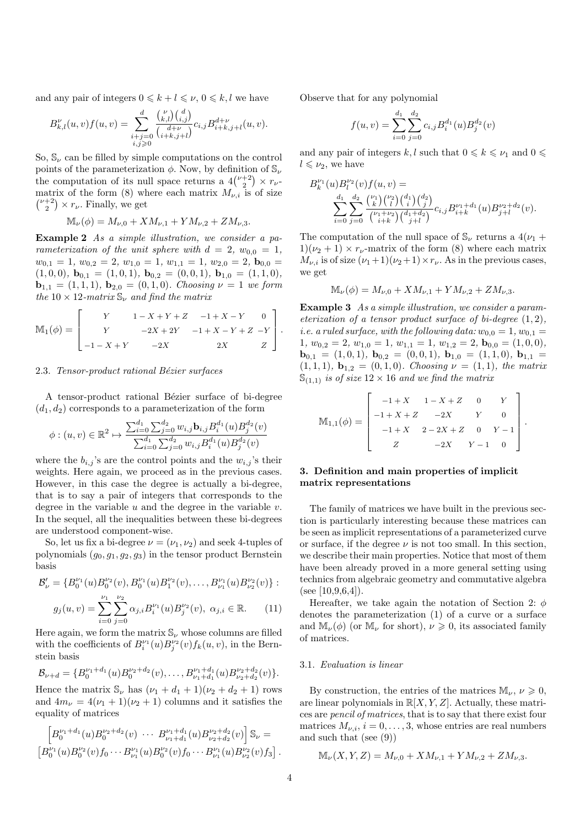and any pair of integers  $0 \leq k + l \leq \nu$ ,  $0 \leq k, l$  we have

$$
B_{k,l}^{\nu}(u,v)f(u,v) = \sum_{\substack{i+j=0 \ i,j \geq 0}}^{d} \frac{\binom{\nu}{k,l} \binom{d}{i,j}}{\binom{d+\nu}{i+k,j+l}} c_{i,j} B_{i+k,j+l}^{d+\nu}(u,v).
$$

So,  $\mathbb{S}_{\nu}$  can be filled by simple computations on the control points of the parameterization  $\phi$ . Now, by definition of  $\mathbb{S}_{\nu}$ the computation of its null space returns a  $4\binom{\nu+2}{2} \times r_{\nu}$ matrix of the form (8) where each matrix  $M_{\nu,i}$  is of size  $\binom{\nu+2}{2} \times r_{\nu}$ . Finally, we get

$$
\mathbb{M}_{\nu}(\phi) = M_{\nu,0} + X M_{\nu,1} + Y M_{\nu,2} + Z M_{\nu,3}.
$$

Example 2 As a simple illustration, we consider a parameterization of the unit sphere with  $d = 2$ ,  $w_{0,0} = 1$ ,  $w_{0,1} = 1, w_{0,2} = 2, w_{1,0} = 1, w_{1,1} = 1, w_{2,0} = 2, \mathbf{b}_{0,0} = 1$  $(1, 0, 0), \mathbf{b}_{0,1} = (1, 0, 1), \mathbf{b}_{0,2} = (0, 0, 1), \mathbf{b}_{1,0} = (1, 1, 0),$  $$ the 10  $\times$  12-matrix  $\mathbb{S}_{\nu}$  and find the matrix

$$
\mathbb{M}_1(\phi) = \begin{bmatrix} Y & 1 - X + Y + Z & -1 + X - Y & 0 \\ Y & -2X + 2Y & -1 + X - Y + Z & -Y \\ -1 - X + Y & -2X & 2X & Z \end{bmatrix}.
$$

## 2.3. Tensor-product rational Bézier surfaces

A tensor-product rational Bézier surface of bi-degree  $(d_1, d_2)$  corresponds to a parameterization of the form

$$
\phi: (u, v) \in \mathbb{R}^2 \mapsto \frac{\sum_{i=0}^{d_1} \sum_{j=0}^{d_2} w_{i,j} \mathbf{b}_{i,j} B_i^{d_1}(u) B_j^{d_2}(v)}{\sum_{i=0}^{d_1} \sum_{j=0}^{d_2} w_{i,j} B_i^{d_1}(u) B_j^{d_2}(v)}
$$

where the  $b_{i,j}$ 's are the control points and the  $w_{i,j}$ 's their weights. Here again, we proceed as in the previous cases. However, in this case the degree is actually a bi-degree, that is to say a pair of integers that corresponds to the degree in the variable  $u$  and the degree in the variable  $v$ . In the sequel, all the inequalities between these bi-degrees are understood component-wise.

So, let us fix a bi-degree  $\nu = (\nu_1, \nu_2)$  and seek 4-tuples of polynomials  $(g_0, g_1, g_2, g_3)$  in the tensor product Bernstein basis

$$
\mathcal{B}'_{\nu} = \{B_0^{\nu_1}(u)B_0^{\nu_2}(v), B_0^{\nu_1}(u)B_1^{\nu_2}(v), \dots, B_{\nu_1}^{\nu_1}(u)B_{\nu_2}^{\nu_2}(v)\}:
$$
  

$$
g_j(u,v) = \sum_{i=0}^{\nu_1} \sum_{j=0}^{\nu_2} \alpha_{j,i}B_i^{\nu_1}(u)B_j^{\nu_2}(v), \ \alpha_{j,i} \in \mathbb{R}.
$$
 (11)

Here again, we form the matrix  $\mathbb{S}_{\nu}$  whose columns are filled with the coefficients of  $B_i^{\nu_1}(u)B_j^{\nu_2}(v)f_k(u,v)$ , in the Bernstein basis

$$
\mathcal{B}_{\nu+d} = \{B_0^{\nu_1+d_1}(u)B_0^{\nu_2+d_2}(v),\ldots,B_{\nu_1+d_1}^{\nu_1+d_1}(u)B_{\nu_2+d_2}^{\nu_2+d_2}(v)\}.
$$

Hence the matrix  $\mathbb{S}_{\nu}$  has  $(\nu_1 + d_1 + 1)(\nu_2 + d_2 + 1)$  rows and  $4m_{\nu} = 4(\nu_1 + 1)(\nu_2 + 1)$  columns and it satisfies the equality of matrices

$$
\[B_0^{\nu_1+d_1}(u)B_0^{\nu_2+d_2}(v)\ \cdots\ B_{\nu_1+d_1}^{\nu_1+d_1}(u)B_{\nu_2+d_2}^{\nu_2+d_2}(v)\]S_\nu=\[B_0^{\nu_1}(u)B_0^{\nu_2}(v)f_0\cdots B_{\nu_1}^{\nu_1}(u)B_0^{\nu_2}(v)f_0\cdots B_{\nu_1}^{\nu_1}(u)B_{\nu_2}^{\nu_2}(v)f_3\] .
$$

Observe that for any polynomial

$$
f(u,v) = \sum_{i=0}^{d_1} \sum_{j=0}^{d_2} c_{i,j} B_i^{d_1}(u) B_j^{d_2}(v)
$$

and any pair of integers k, l such that  $0 \le k \le \nu_1$  and  $0 \le$  $l \leqslant \nu_2$ , we have

$$
B_k^{\nu_1}(u)B_l^{\nu_2}(v)f(u,v) =
$$
  

$$
\sum_{i=0}^{d_1} \sum_{j=0}^{d_2} \frac{\binom{\nu_1}{k} \binom{\nu_2}{l} \binom{d_1}{i} \binom{d_2}{j}}{\binom{\nu_1+\nu_2}{i+\nu_1} \binom{d_1+d_2}{j+\nu_1}} c_{i,j} B_{i+k}^{\nu_1+d_1}(u) B_{j+l}^{\nu_2+d_2}(v).
$$

The computation of the null space of  $\mathcal{S}_{\nu}$  returns a  $4(\nu_1 +$  $1)(\nu_2 + 1) \times r_{\nu}$ -matrix of the form (8) where each matrix  $M_{\nu,i}$  is of size  $(\nu_1+1)(\nu_2+1)\times r_{\nu}$ . As in the previous cases, we get

$$
\mathbb{M}_{\nu}(\phi) = M_{\nu,0} + X M_{\nu,1} + Y M_{\nu,2} + Z M_{\nu,3}.
$$

Example 3 As a simple illustration, we consider a parameterization of a tensor product surface of bi-degree  $(1, 2)$ , *i.e.* a ruled surface, with the following data:  $w_{0,0} = 1, w_{0,1} =$  $1, w_{0,2} = 2, w_{1,0} = 1, w_{1,1} = 1, w_{1,2} = 2, \mathbf{b}_{0,0} = (1,0,0),$  $\mathbf{b}_{0,1} = (1, 0, 1), \mathbf{b}_{0,2} = (0, 0, 1), \mathbf{b}_{1,0} = (1, 1, 0), \mathbf{b}_{1,1} =$  $(1, 1, 1),$   $\mathbf{b}_{1,2} = (0, 1, 0)$ . Choosing  $\nu = (1, 1)$ , the matrix  $\mathbb{S}_{(1,1)}$  is of size  $12 \times 16$  and we find the matrix

$$
\mathbb{M}_{1,1}(\phi) = \begin{bmatrix} -1+X & 1-X+Z & 0 & Y \\ -1+X+Z & -2X & Y & 0 \\ -1+X & 2-2X+Z & 0 & Y-1 \\ Z & -2X & Y-1 & 0 \end{bmatrix}.
$$

# 3. Definition and main properties of implicit matrix representations

The family of matrices we have built in the previous section is particularly interesting because these matrices can be seen as implicit representations of a parameterized curve or surface, if the degree  $\nu$  is not too small. In this section, we describe their main properties. Notice that most of them have been already proved in a more general setting using technics from algebraic geometry and commutative algebra (see [10,9,6,4]).

Hereafter, we take again the notation of Section 2:  $\phi$ denotes the parameterization (1) of a curve or a surface and  $\mathbb{M}_{\nu}(\phi)$  (or  $\mathbb{M}_{\nu}$  for short),  $\nu \geq 0$ , its associated family of matrices.

#### 3.1. Evaluation is linear

By construction, the entries of the matrices  $\mathbb{M}_{\nu}$ ,  $\nu \geq 0$ , are linear polynomials in  $\mathbb{R}[X, Y, Z]$ . Actually, these matrices are pencil of matrices, that is to say that there exist four matrices  $M_{\nu,i}$ ,  $i = 0, \ldots, 3$ , whose entries are real numbers and such that (see (9))

$$
\mathbb{M}_{\nu}(X, Y, Z) = M_{\nu,0} + X M_{\nu,1} + Y M_{\nu,2} + Z M_{\nu,3}.
$$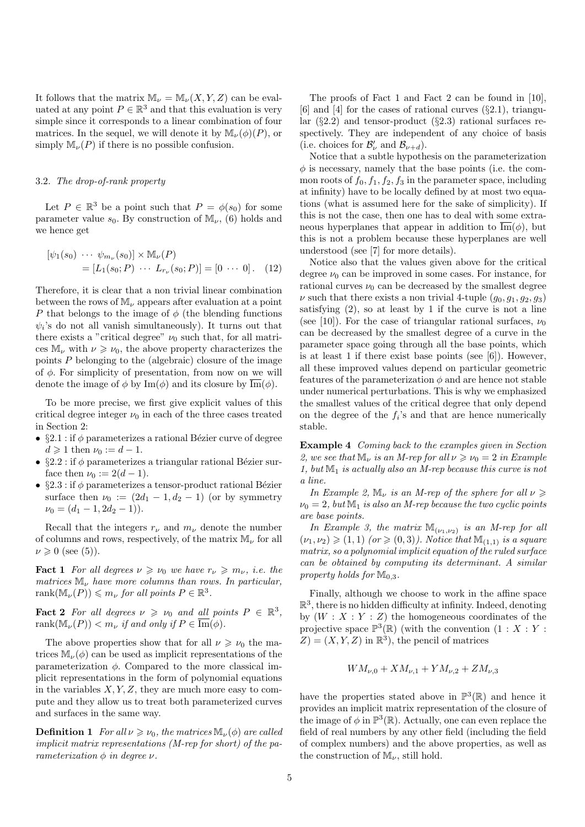It follows that the matrix  $\mathbb{M}_{\nu} = \mathbb{M}_{\nu}(X, Y, Z)$  can be evaluated at any point  $P \in \mathbb{R}^3$  and that this evaluation is very simple since it corresponds to a linear combination of four matrices. In the sequel, we will denote it by  $\mathbb{M}_{\nu}(\phi)(P)$ , or simply  $\mathbb{M}_{\nu}(P)$  if there is no possible confusion.

## 3.2. The drop-of-rank property

Let  $P \in \mathbb{R}^3$  be a point such that  $P = \phi(s_0)$  for some parameter value  $s_0$ . By construction of  $\mathbb{M}_{\nu}$ , (6) holds and we hence get

$$
[\psi_1(s_0) \cdots \psi_{m_{\nu}}(s_0)] \times M_{\nu}(P)
$$
  
=  $[L_1(s_0; P) \cdots L_{r_{\nu}}(s_0; P)] = [0 \cdots 0].$  (12)

Therefore, it is clear that a non trivial linear combination between the rows of  $\mathbb{M}_{\nu}$  appears after evaluation at a point P that belongs to the image of  $\phi$  (the blending functions  $\psi_i$ 's do not all vanish simultaneously). It turns out that there exists a "critical degree"  $\nu_0$  such that, for all matrices  $\mathbb{M}_{\nu}$  with  $\nu \geq \nu_0$ , the above property characterizes the points  $P$  belonging to the (algebraic) closure of the image of  $\phi$ . For simplicity of presentation, from now on we will denote the image of  $\phi$  by Im( $\phi$ ) and its closure by  $\overline{\text{Im}}(\phi)$ .

To be more precise, we first give explicit values of this critical degree integer  $\nu_0$  in each of the three cases treated in Section 2:

- §2.1 : if  $\phi$  parameterizes a rational Bézier curve of degree  $d \geqslant 1$  then  $\nu_0 := d - 1$ .
- §2.2 : if  $\phi$  parameterizes a triangular rational Bézier surface then  $\nu_0 := 2(d - 1)$ .
- §2.3 : if  $\phi$  parameterizes a tensor-product rational Bézier surface then  $\nu_0 := (2d_1 - 1, d_2 - 1)$  (or by symmetry  $\nu_0 = (d_1 - 1, 2d_2 - 1).$

Recall that the integers  $r_{\nu}$  and  $m_{\nu}$  denote the number of columns and rows, respectively, of the matrix  $\mathbb{M}_{\nu}$  for all  $\nu \geq 0$  (see (5)).

**Fact 1** For all degrees  $\nu \geq \nu_0$  we have  $r_{\nu} \geq m_{\nu}$ , i.e. the matrices  $\mathbb{M}_{\nu}$  have more columns than rows. In particular, rank $(\mathbb{M}_{\nu}(P)) \leqslant m_{\nu}$  for all points  $P \in \mathbb{R}^3$ .

**Fact 2** For all degrees  $\nu \ge \nu_0$  and all points  $P \in \mathbb{R}^3$ , rank $(\mathbb{M}_{\nu}(P)) < m_{\nu}$  if and only if  $P \in \overline{\text{Im}}(\phi)$ .

The above properties show that for all  $\nu \geq \nu_0$  the matrices  $\mathbb{M}_{\nu}(\phi)$  can be used as implicit representations of the parameterization  $\phi$ . Compared to the more classical implicit representations in the form of polynomial equations in the variables  $X, Y, Z$ , they are much more easy to compute and they allow us to treat both parameterized curves and surfaces in the same way.

**Definition 1** For all  $\nu \ge \nu_0$ , the matrices  $\mathbb{M}_{\nu}(\phi)$  are called implicit matrix representations (M-rep for short) of the parameterization  $\phi$  in degree  $\nu$ .

The proofs of Fact 1 and Fact 2 can be found in [10], [6] and [4] for the cases of rational curves  $(\S 2.1)$ , triangular  $(\S2.2)$  and tensor-product  $(\S2.3)$  rational surfaces respectively. They are independent of any choice of basis (i.e. choices for  $\mathcal{B}'_{\nu}$  and  $\mathcal{B}_{\nu+d}$ ).

Notice that a subtle hypothesis on the parameterization  $\phi$  is necessary, namely that the base points (i.e. the common roots of  $f_0, f_1, f_2, f_3$  in the parameter space, including at infinity) have to be locally defined by at most two equations (what is assumed here for the sake of simplicity). If this is not the case, then one has to deal with some extraneous hyperplanes that appear in addition to  $\overline{\text{Im}}(\phi)$ , but this is not a problem because these hyperplanes are well understood (see [7] for more details).

Notice also that the values given above for the critical degree  $\nu_0$  can be improved in some cases. For instance, for rational curves  $\nu_0$  can be decreased by the smallest degree v such that there exists a non trivial 4-tuple  $(q_0, q_1, q_2, q_3)$ satisfying  $(2)$ , so at least by 1 if the curve is not a line (see [10]). For the case of triangular rational surfaces,  $\nu_0$ can be decreased by the smallest degree of a curve in the parameter space going through all the base points, which is at least 1 if there exist base points (see [6]). However, all these improved values depend on particular geometric features of the parameterization  $\phi$  and are hence not stable under numerical perturbations. This is why we emphasized the smallest values of the critical degree that only depend on the degree of the  $f_i$ 's and that are hence numerically stable.

Example 4 Coming back to the examples given in Section 2, we see that  $\mathbb{M}_{\nu}$  is an M-rep for all  $\nu \geqslant \nu_0 = 2$  in Example 1, but  $\mathbb{M}_1$  is actually also an M-rep because this curve is not a line.

In Example 2,  $\mathbb{M}_{\nu}$  is an M-rep of the sphere for all  $\nu \geq$  $\nu_0 = 2$ , but  $\mathbb{M}_1$  is also an M-rep because the two cyclic points are base points.

In Example 3, the matrix  $\mathbb{M}_{(\nu_1,\nu_2)}$  is an M-rep for all  $(\nu_1, \nu_2) \geqslant (1, 1)$  (or  $\geqslant (0, 3)$ ). Notice that  $\mathbb{M}_{(1,1)}$  is a square matrix, so a polynomial implicit equation of the ruled surface can be obtained by computing its determinant. A similar property holds for  $\mathbb{M}_{0,3}$ .

Finally, although we choose to work in the affine space  $\mathbb{R}^3$ , there is no hidden difficulty at infinity. Indeed, denoting by  $(W : X : Y : Z)$  the homogeneous coordinates of the projective space  $\mathbb{P}^3(\mathbb{R})$  (with the convention  $(1: X: Y: Y)$  $Z = (X, Y, Z)$  in  $\mathbb{R}^3$ , the pencil of matrices

$$
WM_{\nu,0} + XM_{\nu,1} + YM_{\nu,2} + ZM_{\nu,3}
$$

have the properties stated above in  $\mathbb{P}^3(\mathbb{R})$  and hence it provides an implicit matrix representation of the closure of the image of  $\phi$  in  $\mathbb{P}^3(\mathbb{R})$ . Actually, one can even replace the field of real numbers by any other field (including the field of complex numbers) and the above properties, as well as the construction of  $\mathbb{M}_{\nu}$ , still hold.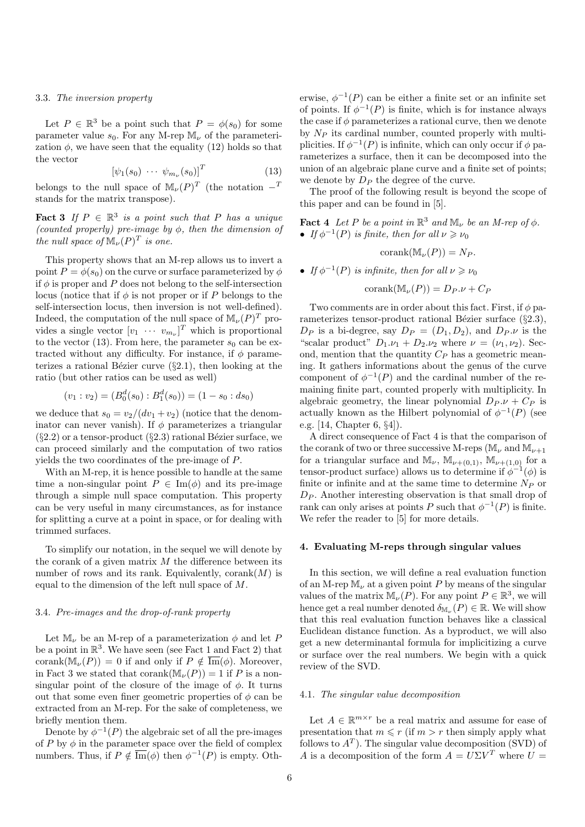#### 3.3. The inversion property

Let  $P \in \mathbb{R}^3$  be a point such that  $P = \phi(s_0)$  for some parameter value  $s_0$ . For any M-rep M<sub>y</sub> of the parameterization  $\phi$ , we have seen that the equality (12) holds so that the vector

$$
\left[\psi_1(s_0)\ \cdots\ \psi_{m_\nu}(s_0)\right]^T\tag{13}
$$

belongs to the null space of  $\mathbb{M}_{\nu}(P)^{T}$  (the notation  $-^{T}$ stands for the matrix transpose).

**Fact 3** If  $P \in \mathbb{R}^3$  is a point such that P has a unique (counted properly) pre-image by  $\phi$ , then the dimension of the null space of  $\mathbb{M}_{\nu}(P)^{T}$  is one.

This property shows that an M-rep allows us to invert a point  $P = \phi(s_0)$  on the curve or surface parameterized by  $\phi$ if  $\phi$  is proper and P does not belong to the self-intersection locus (notice that if  $\phi$  is not proper or if P belongs to the self-intersection locus, then inversion is not well-defined). Indeed, the computation of the null space of  $\mathbb{M}_{\nu}(P)^{T}$  provides a single vector  $[v_1 \cdots v_{m_{\nu}}]^T$  which is proportional to the vector (13). From here, the parameter  $s_0$  can be extracted without any difficulty. For instance, if  $\phi$  parameterizes a rational Bézier curve  $(\S 2.1)$ , then looking at the ratio (but other ratios can be used as well)

$$
(v_1 : v_2) = (B_0^d(s_0) : B_1^d(s_0)) = (1 - s_0 : ds_0)
$$

we deduce that  $s_0 = v_2/(dv_1 + v_2)$  (notice that the denominator can never vanish). If  $\phi$  parameterizes a triangular  $(\S2.2)$  or a tensor-product  $(\S2.3)$  rational Bézier surface, we can proceed similarly and the computation of two ratios yields the two coordinates of the pre-image of P.

With an M-rep, it is hence possible to handle at the same time a non-singular point  $P \in \text{Im}(\phi)$  and its pre-image through a simple null space computation. This property can be very useful in many circumstances, as for instance for splitting a curve at a point in space, or for dealing with trimmed surfaces.

To simplify our notation, in the sequel we will denote by the corank of a given matrix  $M$  the difference between its number of rows and its rank. Equivalently,  $\mathrm{corank}(M)$  is equal to the dimension of the left null space of M.

## 3.4. Pre-images and the drop-of-rank property

Let  $\mathbb{M}_{\nu}$  be an M-rep of a parameterization  $\phi$  and let P be a point in  $\mathbb{R}^3$ . We have seen (see Fact 1 and Fact 2) that corank( $\mathbb{M}_{\nu}(P)$ ) = 0 if and only if  $P \notin \overline{\mathrm{Im}}(\phi)$ . Moreover, in Fact 3 we stated that corank $(\mathbb{M}_{\nu}(P)) = 1$  if P is a nonsingular point of the closure of the image of  $\phi$ . It turns out that some even finer geometric properties of  $\phi$  can be extracted from an M-rep. For the sake of completeness, we briefly mention them.

Denote by  $\phi^{-1}(P)$  the algebraic set of all the pre-images of P by  $\phi$  in the parameter space over the field of complex numbers. Thus, if  $P \notin \overline{\mathrm{Im}}(\phi)$  then  $\phi^{-1}(P)$  is empty. Oth-

erwise,  $\phi^{-1}(P)$  can be either a finite set or an infinite set of points. If  $\phi^{-1}(P)$  is finite, which is for instance always the case if  $\phi$  parameterizes a rational curve, then we denote by  $N_P$  its cardinal number, counted properly with multiplicities. If  $\phi^{-1}(P)$  is infinite, which can only occur if  $\phi$  parameterizes a surface, then it can be decomposed into the union of an algebraic plane curve and a finite set of points; we denote by  $D_P$  the degree of the curve.

The proof of the following result is beyond the scope of this paper and can be found in [5].

**Fact 4** Let P be a point in  $\mathbb{R}^3$  and  $\mathbb{M}_{\nu}$  be an M-rep of  $\phi$ . • If  $\phi^{-1}(P)$  is finite, then for all  $\nu \geqslant \nu_0$ 

$$
corank(\mathbb{M}_{\nu}(P)) = N_P.
$$

• If  $\phi^{-1}(P)$  is infinite, then for all  $\nu \geqslant \nu_0$ 

 $\mathrm{corank}(\mathbb{M}_{\nu}(P)) = D_P.\nu + C_P$ 

Two comments are in order about this fact. First, if  $\phi$  parameterizes tensor-product rational Bézier surface  $(\S2.3)$ ,  $D_P$  is a bi-degree, say  $D_P = (D_1, D_2)$ , and  $D_P \nu$  is the "scalar product"  $D_1.\nu_1 + D_2.\nu_2$  where  $\nu = (\nu_1, \nu_2)$ . Second, mention that the quantity  $C_P$  has a geometric meaning. It gathers informations about the genus of the curve component of  $\phi^{-1}(P)$  and the cardinal number of the remaining finite part, counted properly with multiplicity. In algebraic geometry, the linear polynomial  $D_P \nu + C_P$  is actually known as the Hilbert polynomial of  $\phi^{-1}(P)$  (see e.g. [14, Chapter 6, §4]).

A direct consequence of Fact 4 is that the comparison of the corank of two or three successive M-reps ( $\mathbb{M}_{\nu}$  and  $\mathbb{M}_{\nu+1}$ for a triangular surface and  $\mathbb{M}_{\nu}$ ,  $\mathbb{M}_{\nu+(0,1)}$ ,  $\mathbb{M}_{\nu+(1,0)}$  for a tensor-product surface) allows us to determine if  $\phi^{-1}(\phi)$  is finite or infinite and at the same time to determine  $N_P$  or  $D_P$ . Another interesting observation is that small drop of rank can only arises at points P such that  $\phi^{-1}(P)$  is finite. We refer the reader to [5] for more details.

# 4. Evaluating M-reps through singular values

In this section, we will define a real evaluation function of an M-rep  $M_{\nu}$  at a given point P by means of the singular values of the matrix  $\mathbb{M}_{\nu}(P)$ . For any point  $P \in \mathbb{R}^3$ , we will hence get a real number denoted  $\delta_{\mathbb{M}_{\nu}}(P) \in \mathbb{R}$ . We will show that this real evaluation function behaves like a classical Euclidean distance function. As a byproduct, we will also get a new determinantal formula for implicitizing a curve or surface over the real numbers. We begin with a quick review of the SVD.

# 4.1. The singular value decomposition

Let  $A \in \mathbb{R}^{m \times r}$  be a real matrix and assume for ease of presentation that  $m \leq r$  (if  $m > r$  then simply apply what follows to  $A<sup>T</sup>$ ). The singular value decomposition (SVD) of A is a decomposition of the form  $A = U\Sigma V^T$  where  $U =$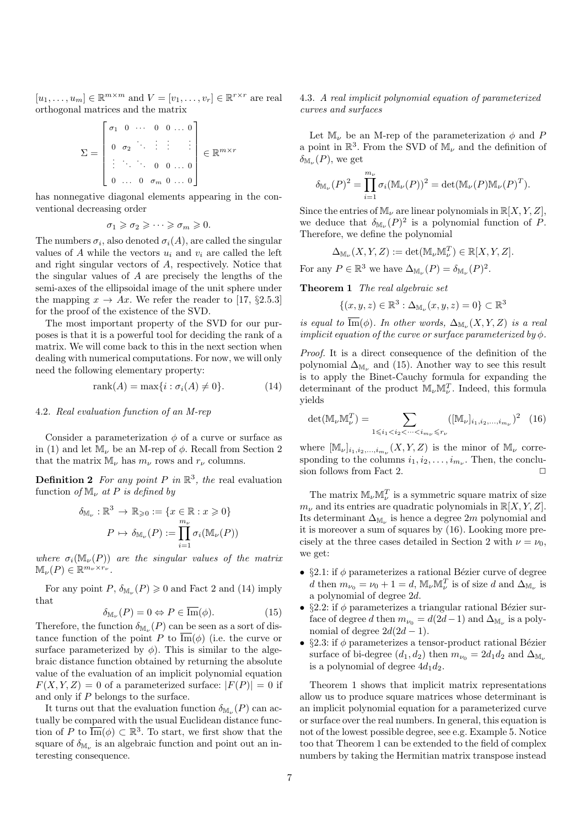$[u_1, \ldots, u_m] \in \mathbb{R}^{m \times m}$  and  $V = [v_1, \ldots, v_r] \in \mathbb{R}^{r \times r}$  are real orthogonal matrices and the matrix

$$
\Sigma = \begin{bmatrix} \sigma_1 & 0 & \cdots & 0 & 0 & \cdots & 0 \\ 0 & \sigma_2 & \ddots & \vdots & \vdots & \vdots \\ \vdots & \ddots & \ddots & 0 & 0 & \cdots & 0 \\ 0 & \cdots & 0 & \sigma_m & 0 & \cdots & 0 \end{bmatrix} \in \mathbb{R}^{m \times r}
$$

has nonnegative diagonal elements appearing in the conventional decreasing order

$$
\sigma_1 \geqslant \sigma_2 \geqslant \cdots \geqslant \sigma_m \geqslant 0.
$$

The numbers  $\sigma_i$ , also denoted  $\sigma_i(A)$ , are called the singular values of A while the vectors  $u_i$  and  $v_i$  are called the left and right singular vectors of A, respectively. Notice that the singular values of A are precisely the lengths of the semi-axes of the ellipsoidal image of the unit sphere under the mapping  $x \to Ax$ . We refer the reader to [17, §2.5.3] for the proof of the existence of the SVD.

The most important property of the SVD for our purposes is that it is a powerful tool for deciding the rank of a matrix. We will come back to this in the next section when dealing with numerical computations. For now, we will only need the following elementary property:

$$
rank(A) = max{i : \sigma_i(A) \neq 0}.
$$
 (14)

# 4.2. Real evaluation function of an M-rep

Consider a parameterization  $\phi$  of a curve or surface as in (1) and let  $\mathbb{M}_{\nu}$  be an M-rep of  $\phi$ . Recall from Section 2 that the matrix  $M_{\nu}$  has  $m_{\nu}$  rows and  $r_{\nu}$  columns.

**Definition 2** For any point P in  $\mathbb{R}^3$ , the real evaluation function of  $\mathbb{M}_{\nu}$  at P is defined by

$$
\delta_{\mathbb{M}_{\nu}} : \mathbb{R}^3 \to \mathbb{R}_{\geqslant 0} := \{ x \in \mathbb{R} : x \geqslant 0 \}
$$

$$
P \mapsto \delta_{\mathbb{M}_{\nu}}(P) := \prod_{i=1}^{m_{\nu}} \sigma_i(\mathbb{M}_{\nu}(P))
$$

where  $\sigma_i(\mathbb{M}_{\nu}(P))$  are the singular values of the matrix  $\mathbb{M}_{\nu}(P) \in \mathbb{R}^{m_{\nu} \times r_{\nu}}$ .

For any point  $P, \delta_{\mathbb{M}_{\nu}}(P) \geq 0$  and Fact 2 and (14) imply that

$$
\delta_{\mathbb{M}_{\nu}}(P) = 0 \Leftrightarrow P \in \overline{\text{Im}}(\phi). \tag{15}
$$

Therefore, the function  $\delta_{\mathbb{M}_{\nu}}(P)$  can be seen as a sort of distance function of the point P to  $\overline{\mathrm{Im}}(\phi)$  (i.e. the curve or surface parameterized by  $\phi$ ). This is similar to the algebraic distance function obtained by returning the absolute value of the evaluation of an implicit polynomial equation  $F(X, Y, Z) = 0$  of a parameterized surface:  $|F(P)| = 0$  if and only if P belongs to the surface.

It turns out that the evaluation function  $\delta_{\mathbb{M}\nu}(P)$  can actually be compared with the usual Euclidean distance function of P to  $\overline{\text{Im}}(\phi) \subset \mathbb{R}^3$ . To start, we first show that the square of  $\delta_{\mathbb{M}\nu}$  is an algebraic function and point out an interesting consequence.

# 4.3. A real implicit polynomial equation of parameterized curves and surfaces

Let  $\mathbb{M}_{\nu}$  be an M-rep of the parameterization  $\phi$  and P a point in  $\mathbb{R}^3$ . From the SVD of  $\mathbb{M}_{\nu}$  and the definition of  $\delta_{\mathbb{M}_{\nu}}(P)$ , we get

$$
\delta_{\mathbb{M}_{\nu}}(P)^2 = \prod_{i=1}^{m_{\nu}} \sigma_i(\mathbb{M}_{\nu}(P))^2 = \det(\mathbb{M}_{\nu}(P)\mathbb{M}_{\nu}(P)^T).
$$

Since the entries of  $\mathbb{M}_{\nu}$  are linear polynomials in  $\mathbb{R}[X, Y, Z]$ , we deduce that  $\delta_{\mathbb{M}_{\nu}}(P)^2$  is a polynomial function of P. Therefore, we define the polynomial

$$
\Delta_{\mathbb{M}_{\nu}}(X, Y, Z) := \det(\mathbb{M}_{\nu}\mathbb{M}_{\nu}^{T}) \in \mathbb{R}[X, Y, Z].
$$

For any  $P \in \mathbb{R}^3$  we have  $\Delta_{\mathbb{M}_\nu}(P) = \delta_{\mathbb{M}_\nu}(P)^2$ .

Theorem 1 The real algebraic set

$$
\{(x,y,z)\in\mathbb{R}^3:\Delta_{\mathbb{M}_\nu}(x,y,z)=0\}\subset\mathbb{R}^3
$$

is equal to Im( $\phi$ ). In other words,  $\Delta_{\mathbb{M}_{\nu}}(X, Y, Z)$  is a real implicit equation of the curve or surface parameterized by  $\phi$ .

Proof. It is a direct consequence of the definition of the polynomial  $\Delta_{\mathbb{M}_{\nu}}$  and (15). Another way to see this result is to apply the Binet-Cauchy formula for expanding the determinant of the product  $\mathbb{M}_{\nu} \mathbb{M}^T_{\nu}$ . Indeed, this formula yields

$$
\det(\mathbb{M}_{\nu}\mathbb{M}_{\nu}^{T}) = \sum_{1 \leq i_1 < i_2 < \cdots < i_{m_{\nu}} \leq r_{\nu}} \left( [\mathbb{M}_{\nu}]_{i_1, i_2, \ldots, i_{m_{\nu}}} \right)^2 \tag{16}
$$

where  $[\mathbb{M}_{\nu}]_{i_1,i_2,...,i_{m_{\nu}}}(X,Y,Z)$  is the minor of  $\mathbb{M}_{\nu}$  corresponding to the columns  $i_1, i_2, \ldots, i_{m_{\nu}}$ . Then, the conclusion follows from Fact 2.  $\Box$ 

The matrix  $\mathbb{M}_{\nu}\mathbb{M}^T_{\nu}$  is a symmetric square matrix of size  $m_{\nu}$  and its entries are quadratic polynomials in  $\mathbb{R}[X, Y, Z].$ Its determinant  $\Delta_{\mathbb{M}\nu}$  is hence a degree 2m polynomial and it is moreover a sum of squares by (16). Looking more precisely at the three cases detailed in Section 2 with  $\nu = \nu_0$ , we get:

- §2.1: if  $\phi$  parameterizes a rational Bézier curve of degree d then  $m_{\nu_0} = \nu_0 + 1 = d$ ,  $\mathbb{M}_{\nu} \mathbb{M}_{\nu}^T$  is of size d and  $\Delta_{\mathbb{M}_{\nu}}$  is a polynomial of degree 2d.
- §2.2: if  $\phi$  parameterizes a triangular rational Bézier surface of degree d then  $m_{\nu_0} = d(2d-1)$  and  $\Delta_{\mathbb{M}_\nu}$  is a polynomial of degree  $2d(2d-1)$ .
- §2.3: if  $\phi$  parameterizes a tensor-product rational Bézier surface of bi-degree  $(d_1, d_2)$  then  $m_{\nu_0} = 2d_1d_2$  and  $\Delta_{\mathbb{M}_{\nu}}$ is a polynomial of degree  $4d_1d_2$ .

Theorem 1 shows that implicit matrix representations allow us to produce square matrices whose determinant is an implicit polynomial equation for a parameterized curve or surface over the real numbers. In general, this equation is not of the lowest possible degree, see e.g. Example 5. Notice too that Theorem 1 can be extended to the field of complex numbers by taking the Hermitian matrix transpose instead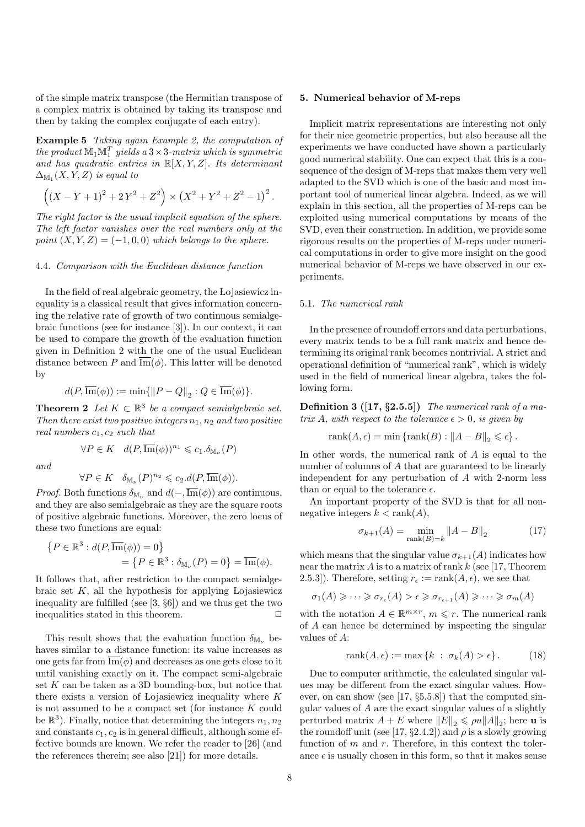of the simple matrix transpose (the Hermitian transpose of a complex matrix is obtained by taking its transpose and then by taking the complex conjugate of each entry).

Example 5 Taking again Example 2, the computation of the product  $\mathbb{M}_1 \mathbb{M}_1^T$  yields a  $3 \times 3$ -matrix which is symmetric and has quadratic entries in  $\mathbb{R}[X, Y, Z]$ . Its determinant  $\Delta_{\mathbb{M}_{1}}(X,Y,Z)$  is equal to

$$
((X - Y + 1)^{2} + 2Y^{2} + Z^{2}) \times (X^{2} + Y^{2} + Z^{2} - 1)^{2}.
$$

The right factor is the usual implicit equation of the sphere. The left factor vanishes over the real numbers only at the point  $(X, Y, Z) = (-1, 0, 0)$  which belongs to the sphere.

# 4.4. Comparison with the Euclidean distance function

In the field of real algebraic geometry, the Lojasiewicz inequality is a classical result that gives information concerning the relative rate of growth of two continuous semialgebraic functions (see for instance [3]). In our context, it can be used to compare the growth of the evaluation function given in Definition 2 with the one of the usual Euclidean distance between P and  $\text{Im}(\phi)$ . This latter will be denoted by

$$
d(P,\overline{\mathrm{Im}}(\phi)) := \min\{\|P - Q\|_2 : Q \in \overline{\mathrm{Im}}(\phi)\}.
$$

**Theorem 2** Let  $K \subset \mathbb{R}^3$  be a compact semialgebraic set. Then there exist two positive integers  $n_1$ ,  $n_2$  and two positive real numbers  $c_1, c_2$  such that

$$
\forall P \in K \quad d(P, \overline{\mathrm{Im}}(\phi))^{n_1} \leqslant c_1.\delta_{\mathbb{M}_\nu}(P)
$$

and

$$
\forall P \in K \quad \delta_{\mathbb{M}_{\nu}}(P)^{n_2} \leqslant c_2.d(P, \overline{\mathrm{Im}}(\phi)).
$$

*Proof.* Both functions  $\delta_{\mathbb{M}_{\nu}}$  and  $d(-, \text{Im}(\phi))$  are continuous, and they are also semialgebraic as they are the square roots of positive algebraic functions. Moreover, the zero locus of these two functions are equal:

$$
\{P \in \mathbb{R}^3 : d(P, \overline{\text{Im}}(\phi)) = 0\}
$$
  
= 
$$
\{P \in \mathbb{R}^3 : \delta_{\mathbb{M}_\nu}(P) = 0\} = \overline{\text{Im}}(\phi).
$$

It follows that, after restriction to the compact semialgebraic set  $K$ , all the hypothesis for applying Lojasiewicz inequality are fulfilled (see [3, §6]) and we thus get the two inequalities stated in this theorem.  $\Box$ 

This result shows that the evaluation function  $\delta_{\mathbb{M}_{\nu}}$  behaves similar to a distance function: its value increases as one gets far from  $\overline{\mathrm{Im}}(\phi)$  and decreases as one gets close to it until vanishing exactly on it. The compact semi-algebraic set  $K$  can be taken as a 3D bounding-box, but notice that there exists a version of Lojasiewicz inequality where K is not assumed to be a compact set (for instance K could be  $\mathbb{R}^3$ ). Finally, notice that determining the integers  $n_1, n_2$ and constants  $c_1, c_2$  is in general difficult, although some effective bounds are known. We refer the reader to [26] (and the references therein; see also [21]) for more details.

#### 5. Numerical behavior of M-reps

Implicit matrix representations are interesting not only for their nice geometric properties, but also because all the experiments we have conducted have shown a particularly good numerical stability. One can expect that this is a consequence of the design of M-reps that makes them very well adapted to the SVD which is one of the basic and most important tool of numerical linear algebra. Indeed, as we will explain in this section, all the properties of M-reps can be exploited using numerical computations by means of the SVD, even their construction. In addition, we provide some rigorous results on the properties of M-reps under numerical computations in order to give more insight on the good numerical behavior of M-reps we have observed in our experiments.

# 5.1. The numerical rank

In the presence of roundoff errors and data perturbations, every matrix tends to be a full rank matrix and hence determining its original rank becomes nontrivial. A strict and operational definition of "numerical rank", which is widely used in the field of numerical linear algebra, takes the following form.

**Definition 3** ([17,  $\S$ 2.5.5]) The numerical rank of a matrix A, with respect to the tolerance  $\epsilon > 0$ , is given by

$$
\text{rank}(A,\epsilon)=\min\left\{\text{rank}(B): \left\|A-B\right\|_2\leqslant \epsilon\right\}.
$$

In other words, the numerical rank of A is equal to the number of columns of A that are guaranteed to be linearly independent for any perturbation of A with 2-norm less than or equal to the tolerance  $\epsilon$ .

An important property of the SVD is that for all nonnegative integers  $k < \text{rank}(A)$ ,

$$
\sigma_{k+1}(A) = \min_{\text{rank}(B) = k} \|A - B\|_2 \tag{17}
$$

which means that the singular value  $\sigma_{k+1}(A)$  indicates how near the matrix  $A$  is to a matrix of rank  $k$  (see [17, Theorem 2.5.3]). Therefore, setting  $r_{\epsilon} := \text{rank}(A, \epsilon)$ , we see that

$$
\sigma_1(A) \geqslant \cdots \geqslant \sigma_{r_{\epsilon}}(A) > \epsilon \geqslant \sigma_{r_{\epsilon+1}}(A) \geqslant \cdots \geqslant \sigma_m(A)
$$

with the notation  $A \in \mathbb{R}^{m \times r}$ ,  $m \leq r$ . The numerical rank of A can hence be determined by inspecting the singular values of A:

$$
rank(A, \epsilon) := \max\left\{k \; : \; \sigma_k(A) > \epsilon\right\}.
$$
 (18)

Due to computer arithmetic, the calculated singular values may be different from the exact singular values. However, on can show (see [17, §5.5.8]) that the computed singular values of A are the exact singular values of a slightly perturbed matrix  $A + E$  where  $||E||_2 \le \rho u ||A||_2$ ; here **u** is the roundoff unit (see [17, §2.4.2]) and  $\rho$  is a slowly growing function of  $m$  and  $r$ . Therefore, in this context the tolerance  $\epsilon$  is usually chosen in this form, so that it makes sense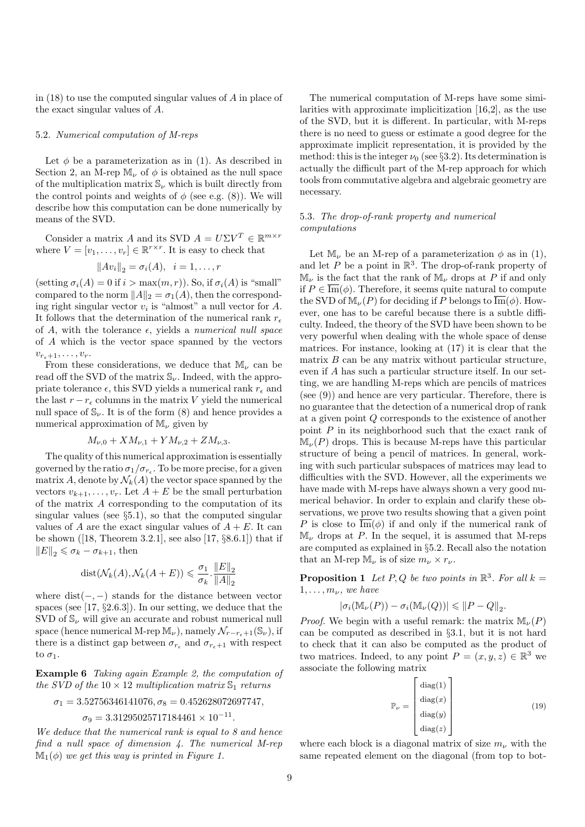in (18) to use the computed singular values of A in place of the exact singular values of A.

# 5.2. Numerical computation of M-reps

Let  $\phi$  be a parameterization as in (1). As described in Section 2, an M-rep  $\mathbb{M}_{\nu}$  of  $\phi$  is obtained as the null space of the multiplication matrix  $\mathbb{S}_{\nu}$  which is built directly from the control points and weights of  $\phi$  (see e.g. (8)). We will describe how this computation can be done numerically by means of the SVD.

Consider a matrix A and its SVD  $A = U\Sigma V^T \in \mathbb{R}^{m \times r}$ where  $V = [v_1, \ldots, v_r] \in \mathbb{R}^{r \times r}$ . It is easy to check that

$$
||Av_i||_2 = \sigma_i(A), \ \ i = 1, \ldots, r
$$

(setting  $\sigma_i(A) = 0$  if  $i > \max(m, r)$ ). So, if  $\sigma_i(A)$  is "small" compared to the norm  $||A||_2 = \sigma_1(A)$ , then the corresponding right singular vector  $v_i$  is "almost" a null vector for  $A$ . It follows that the determination of the numerical rank  $r_{\epsilon}$ of A, with the tolerance  $\epsilon$ , yields a numerical null space of A which is the vector space spanned by the vectors  $v_{r_{\epsilon}+1}, \ldots, v_r.$ 

From these considerations, we deduce that  $M_{\nu}$  can be read off the SVD of the matrix  $\mathbb{S}_{\nu}$ . Indeed, with the appropriate tolerance  $\epsilon$ , this SVD yields a numerical rank  $r_{\epsilon}$  and the last  $r - r_{\epsilon}$  columns in the matrix V yield the numerical null space of  $\mathbb{S}_{\nu}$ . It is of the form (8) and hence provides a numerical approximation of  $\mathbb{M}_{\nu}$  given by

$$
M_{\nu,0} + X M_{\nu,1} + Y M_{\nu,2} + Z M_{\nu,3}.
$$

The quality of this numerical approximation is essentially governed by the ratio  $\sigma_1/\sigma_{r_{\epsilon}}$ . To be more precise, for a given matrix A, denote by  $\mathcal{N}_k(A)$  the vector space spanned by the vectors  $v_{k+1}, \ldots, v_r$ . Let  $A + E$  be the small perturbation of the matrix A corresponding to the computation of its singular values (see §5.1), so that the computed singular values of A are the exact singular values of  $A + E$ . It can be shown ([18, Theorem 3.2.1], see also [17,  $\S 8.6.1$ ]) that if  $||E||_2 \leq \sigma_k - \sigma_{k+1}$ , then

$$
dist(\mathcal{N}_k(A), \mathcal{N}_k(A+E)) \leq \frac{\sigma_1}{\sigma_k} \cdot \frac{\|E\|_2}{\|A\|_2}
$$

where  $dist(-, -)$  stands for the distance between vector spaces (see [17, §2.6.3]). In our setting, we deduce that the SVD of  $\mathbb{S}_{\nu}$  will give an accurate and robust numerical null space (hence numerical M-rep  $\mathbb{M}_{\nu}$ ), namely  $\mathcal{N}_{r-r_{\epsilon}+1}(\mathbb{S}_{\nu})$ , if there is a distinct gap between  $\sigma_{r_{\epsilon}}$  and  $\sigma_{r_{\epsilon}+1}$  with respect to  $\sigma_1$ .

Example 6 Taking again Example 2, the computation of the SVD of the  $10 \times 12$  multiplication matrix  $\mathbb{S}_1$  returns

$$
\sigma_1=3.52756346141076, \sigma_8=0.452628072697747,
$$

$$
\sigma_9 = 3.31295025717184461 \times 10^{-11}.
$$

We deduce that the numerical rank is equal to 8 and hence find a null space of dimension 4. The numerical M-rep  $\mathbb{M}_1(\phi)$  we get this way is printed in Figure 1.

The numerical computation of M-reps have some similarities with approximate implicitization [16,2], as the use of the SVD, but it is different. In particular, with M-reps there is no need to guess or estimate a good degree for the approximate implicit representation, it is provided by the method: this is the integer  $\nu_0$  (see §3.2). Its determination is actually the difficult part of the M-rep approach for which tools from commutative algebra and algebraic geometry are necessary.

# 5.3. The drop-of-rank property and numerical computations

Let M<sub>v</sub>, be an M-rep of a parameterization  $\phi$  as in (1), and let P be a point in  $\mathbb{R}^3$ . The drop-of-rank property of  $\mathbb{M}_{\nu}$  is the fact that the rank of  $\mathbb{M}_{\nu}$  drops at P if and only if  $P \in \overline{\mathrm{Im}}(\phi)$ . Therefore, it seems quite natural to compute the SVD of  $\mathbb{M}_{\nu}(P)$  for deciding if P belongs to  $\overline{\mathrm{Im}}(\phi)$ . However, one has to be careful because there is a subtle difficulty. Indeed, the theory of the SVD have been shown to be very powerful when dealing with the whole space of dense matrices. For instance, looking at (17) it is clear that the matrix  $B$  can be any matrix without particular structure, even if A has such a particular structure itself. In our setting, we are handling M-reps which are pencils of matrices (see (9)) and hence are very particular. Therefore, there is no guarantee that the detection of a numerical drop of rank at a given point Q corresponds to the existence of another point  $P$  in its neighborhood such that the exact rank of  $\mathbb{M}_{\nu}(P)$  drops. This is because M-reps have this particular structure of being a pencil of matrices. In general, working with such particular subspaces of matrices may lead to difficulties with the SVD. However, all the experiments we have made with M-reps have always shown a very good numerical behavior. In order to explain and clarify these observations, we prove two results showing that a given point P is close to  $\overline{\mathrm{Im}}(\phi)$  if and only if the numerical rank of  $\mathbb{M}_{\nu}$  drops at P. In the sequel, it is assumed that M-reps are computed as explained in §5.2. Recall also the notation that an M-rep  $\mathbb{M}_{\nu}$  is of size  $m_{\nu} \times r_{\nu}$ .

**Proposition 1** Let P, Q be two points in  $\mathbb{R}^3$ . For all  $k =$  $1, \ldots, m_{\nu}$ , we have

$$
|\sigma_i(\mathbb{M}_{\nu}(P)) - \sigma_i(\mathbb{M}_{\nu}(Q))| \leqslant \|P-Q\|_2.
$$

*Proof.* We begin with a useful remark: the matrix  $\mathbb{M}_{\nu}(P)$ can be computed as described in §3.1, but it is not hard to check that it can also be computed as the product of two matrices. Indeed, to any point  $P = (x, y, z) \in \mathbb{R}^3$  we associate the following matrix

$$
\mathbb{P}_{\nu} = \begin{bmatrix} \text{diag}(1) \\ \text{diag}(x) \\ \text{diag}(y) \\ \text{diag}(z) \end{bmatrix}
$$
 (19)

where each block is a diagonal matrix of size  $m_{\nu}$  with the same repeated element on the diagonal (from top to bot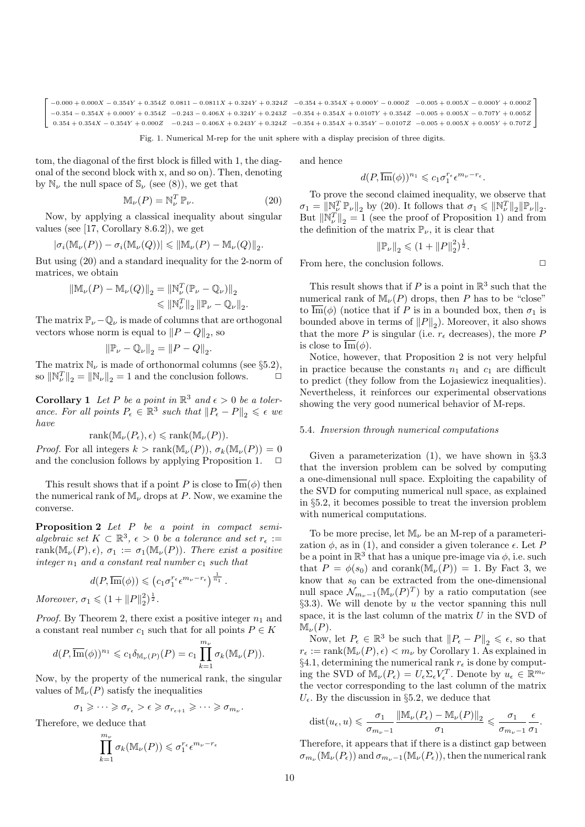$\sqrt{ }$  $-0.000 + 0.000 X - 0.354 Y + 0.354 Z - 0.0811 - 0.0811 X + 0.324 Y + 0.324 Z - 0.354 + 0.354 X + 0.000 Y - 0.000 Z - 0.005 + 0.005 X - 0.000 Y + 0.000 Z$  $-0.354 - 0.354X + 0.000Y + 0.354Z \quad -0.243 - 0.406X + 0.324Y + 0.243Z \quad -0.354 + 0.354X + 0.0107Y + 0.354Z \quad -0.005 + 0.005X - 0.707Y + 0.005Z$  $0.354 + 0.354X - 0.354Y + 0.000Z \quad -0.243 - 0.406X + 0.243Y + 0.324Z \quad -0.354 + 0.354X + 0.354Y - 0.0107Z \quad -0.005 + 0.005X + 0.005Y + 0.707Z \quad -0.000X$ 1

Fig. 1. Numerical M-rep for the unit sphere with a display precision of three digits.

tom, the diagonal of the first block is filled with 1, the diagonal of the second block with x, and so on). Then, denoting by  $\mathbb{N}_{\nu}$  the null space of  $\mathbb{S}_{\nu}$  (see (8)), we get that

$$
\mathbb{M}_{\nu}(P) = \mathbb{N}_{\nu}^T \, \mathbb{P}_{\nu}.
$$
 (20)

Now, by applying a classical inequality about singular values (see [17, Corollary 8.6.2]), we get

$$
|\sigma_i(\mathbb{M}_{\nu}(P)) - \sigma_i(\mathbb{M}_{\nu}(Q))| \leq \|\mathbb{M}_{\nu}(P) - \mathbb{M}_{\nu}(Q)\|_2.
$$

But using (20) and a standard inequality for the 2-norm of matrices, we obtain

$$
\begin{aligned} \|\mathbb{M}_{\nu}(P) - \mathbb{M}_{\nu}(Q)\|_{2} &= \|\mathbb{N}_{\nu}^{T}(\mathbb{P}_{\nu} - \mathbb{Q}_{\nu})\|_{2} \\ &\leqslant \|\mathbb{N}_{\nu}^{T}\|_{2} \|\mathbb{P}_{\nu} - \mathbb{Q}_{\nu}\|_{2} .\end{aligned}
$$

The matrix  $\mathbb{P}_{\nu} - \mathbb{Q}_{\nu}$  is made of columns that are orthogonal vectors whose norm is equal to  $||P - Q||_2$ , so

$$
\left\|\mathbb{P}_{\nu}-\mathbb{Q}_{\nu}\right\|_2=\left\|P-Q\right\|_2.
$$

The matrix  $\mathbb{N}_{\nu}$  is made of orthonormal columns (see §5.2), so  $\|\mathbb{N}_{\nu}^T\|_2 = \|\mathbb{N}_{\nu}\|_2 = 1$  and the conclusion follows.  $\Box$ 

**Corollary 1** Let P be a point in  $\mathbb{R}^3$  and  $\epsilon > 0$  be a tolerance. For all points  $P_{\epsilon} \in \mathbb{R}^3$  such that  $||P_{\epsilon} - P||_2 \leq \epsilon$  we have

$$
rank(\mathbb{M}_{\nu}(P_{\epsilon}), \epsilon) \leqslant rank(\mathbb{M}_{\nu}(P)).
$$

Proof. For all integers  $k > \text{rank}(\mathbb{M}_{\nu}(P)), \sigma_k(\mathbb{M}_{\nu}(P)) = 0$ and the conclusion follows by applying Proposition 1.  $\Box$ 

This result shows that if a point P is close to  $\overline{\mathrm{Im}}(\phi)$  then the numerical rank of  $\mathbb{M}_{\nu}$  drops at P. Now, we examine the converse.

Proposition 2 Let P be a point in compact semialgebraic set  $K \subset \mathbb{R}^3$ ,  $\epsilon > 0$  be a tolerance and set  $r_{\epsilon} :=$ rank $(\mathbb{M}_{\nu}(P), \epsilon)$ ,  $\sigma_1 := \sigma_1(\mathbb{M}_{\nu}(P))$ . There exist a positive integer  $n_1$  and a constant real number  $c_1$  such that

$$
d(P,\overline{\mathrm{Im}}(\phi)) \leqslant (c_1 \sigma_1^{r_{\epsilon}} \epsilon^{m_{\nu}-r_{\epsilon}})^{\frac{1}{n_1}}.
$$

Moreover,  $\sigma_1 \leq (1 + ||P||_2^2)^{\frac{1}{2}}$ .

*Proof.* By Theorem 2, there exist a positive integer  $n_1$  and a constant real number  $c_1$  such that for all points  $P \in K$ 

$$
d(P,\overline{\mathrm{Im}}(\phi))^{n_1} \leqslant c_1 \delta_{\mathbb{M}_{\nu}(P)}(P) = c_1 \prod_{k=1}^{m_{\nu}} \sigma_k(\mathbb{M}_{\nu}(P)).
$$

Now, by the property of the numerical rank, the singular values of  $\mathbb{M}_{\nu}(P)$  satisfy the inequalities

$$
\sigma_1 \geqslant \cdots \geqslant \sigma_{r_{\epsilon}} > \epsilon \geqslant \sigma_{r_{\epsilon+1}} \geqslant \cdots \geqslant \sigma_{m_{\nu}}.
$$

Therefore, we deduce that

$$
\prod_{k=1}^{m_{\nu}} \sigma_k(\mathbb{M}_{\nu}(P)) \leqslant \sigma_1^{r_{\epsilon}} \epsilon^{m_{\nu}-r_{\epsilon}}
$$

and hence

$$
d(P,\overline{\mathrm{Im}}(\phi))^{n_1} \leqslant c_1 \sigma_1^{r_{\epsilon}} \epsilon^{m_{\nu}-r_{\epsilon}}.
$$

To prove the second claimed inequality, we observe that  $\sigma_1 = \|\mathbb{N}_{\nu}^T \mathbb{P}_{\nu}\|_2$  by (20). It follows that  $\sigma_1 \leqslant \|\mathbb{N}_{\nu}^T\|_2 \|\mathbb{P}_{\nu}\|_2$ . But  $\|\mathbb{N}_{\nu}^T\|_2 = 1$  (see the proof of Proposition 1) and from the definition of the matrix  $\mathbb{P}_{\nu}$ , it is clear that

$$
\|\mathbb{P}_{\nu}\|_2 \leqslant (1 + \|P\|_2^2)^{\frac{1}{2}}.
$$

From here, the conclusion follows.  $\Box$ 

This result shows that if P is a point in  $\mathbb{R}^3$  such that the numerical rank of  $\mathbb{M}_{\nu}(P)$  drops, then P has to be "close" to  $\overline{\mathrm{Im}}(\phi)$  (notice that if P is in a bounded box, then  $\sigma_1$  is bounded above in terms of  $||P||_2$ ). Moreover, it also shows that the more P is singular (i.e.  $r_{\epsilon}$  decreases), the more P is close to  $\text{Im}(\phi)$ .

Notice, however, that Proposition 2 is not very helpful in practice because the constants  $n_1$  and  $c_1$  are difficult to predict (they follow from the Lojasiewicz inequalities). Nevertheless, it reinforces our experimental observations showing the very good numerical behavior of M-reps.

#### 5.4. Inversion through numerical computations

Given a parameterization  $(1)$ , we have shown in §3.3 that the inversion problem can be solved by computing a one-dimensional null space. Exploiting the capability of the SVD for computing numerical null space, as explained in §5.2, it becomes possible to treat the inversion problem with numerical computations.

To be more precise, let  $M_{\nu}$  be an M-rep of a parameterization  $\phi$ , as in (1), and consider a given tolerance  $\epsilon$ . Let P be a point in  $\mathbb{R}^3$  that has a unique pre-image via  $\phi$ , i.e. such that  $P = \phi(s_0)$  and corank( $\mathbb{M}_{\nu}(P)$ ) = 1. By Fact 3, we know that  $s_0$  can be extracted from the one-dimensional null space  $\mathcal{N}_{m_{\nu}-1}(\mathbb{M}_{\nu}(P)^{T})$  by a ratio computation (see  $\S3.3$ ). We will denote by u the vector spanning this null space, it is the last column of the matrix  $U$  in the SVD of  $\mathbb{M}_{\nu}(P).$ 

Now, let  $P_{\epsilon} \in \mathbb{R}^3$  be such that  $||P_{\epsilon} - P||_2 \leq \epsilon$ , so that  $r_{\epsilon} := \text{rank}(\mathbb{M}_{\nu}(P), \epsilon) < m_{\nu}$  by Corollary 1. As explained in §4.1, determining the numerical rank  $r_{\epsilon}$  is done by computing the SVD of  $\mathbb{M}_{\nu}(P_{\epsilon}) = U_{\epsilon} \Sigma_{\epsilon} V_{\epsilon}^T$ . Denote by  $u_{\epsilon} \in \mathbb{R}^{m_{\nu}}$ the vector corresponding to the last column of the matrix  $U_{\epsilon}$ . By the discussion in §5.2, we deduce that

$$
\textnormal{dist}(u_\epsilon,u) \leqslant \frac{\sigma_1}{\sigma_{m_\nu-1}} \frac{\left\|\mathbb{M}_\nu(P_\epsilon)-\mathbb{M}_\nu(P)\right\|_2}{\sigma_1} \leqslant \frac{\sigma_1}{\sigma_{m_\nu-1}} \frac{\epsilon}{\sigma_1}.
$$

Therefore, it appears that if there is a distinct gap between  $\sigma_{m_{\nu}}(\mathbb{M}_{\nu}(P_{\epsilon}))$  and  $\sigma_{m_{\nu}-1}(\mathbb{M}_{\nu}(P_{\epsilon}))$ , then the numerical rank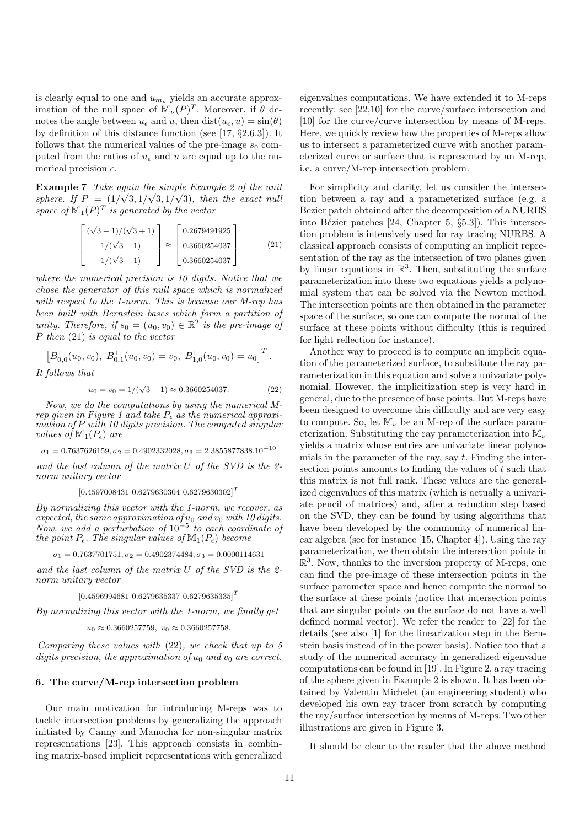is clearly equal to one and  $u_{m_{\nu}}$  yields an accurate approximation of the null space of  $\mathbb{M}_{\nu}(P)^{T}$ . Moreover, if  $\theta$  denotes the angle between  $u_{\epsilon}$  and u, then  $dist(u_{\epsilon}, u) = \sin(\theta)$ by definition of this distance function (see [17, §2.6.3]). It follows that the numerical values of the pre-image  $s_0$  computed from the ratios of  $u_{\epsilon}$  and u are equal up to the numerical precision  $\epsilon$ .

**Example 7** Take again the simple Example 2 of the unit sphere. If  $P = (1/\sqrt{3}, 1/\sqrt{3}, 1/\sqrt{3})$ , then the exact null space of  $\mathbb{M}_1(P)^T$  is generated by the vector

$$
\begin{bmatrix}\n(\sqrt{3}-1)/(\sqrt{3}+1) \\
1/(\sqrt{3}+1) \\
1/(\sqrt{3}+1)\n\end{bmatrix}\n\approx\n\begin{bmatrix}\n0.2679491925 \\
0.3660254037 \\
0.3660254037\n\end{bmatrix}
$$
\n(21)

where the numerical precision is 10 digits. Notice that we chose the generator of this null space which is normalized with respect to the 1-norm. This is because our M-rep has been built with Bernstein bases which form a partition of unity. Therefore, if  $s_0 = (u_0, v_0) \in \mathbb{R}^2$  is the pre-image of P then (21) is equal to the vector

$$
\left[B_{0,0}^1(u_0,v_0),\ B_{0,1}^1(u_0,v_0)=v_0,\ B_{1,0}^1(u_0,v_0)=u_0\right]^T.
$$

It follows that

$$
u_0 = v_0 = 1/(\sqrt{3} + 1) \approx 0.3660254037.
$$
 (22)

Now, we do the computations by using the numerical Mrep given in Figure 1 and take  $P_{\epsilon}$  as the numerical approximation of P with 10 digits precision. The computed singular values of  $\mathbb{M}_1(P_\epsilon)$  are

 $\sigma_1 = 0.7637626159, \sigma_2 = 0.4902332028, \sigma_3 = 2.3855877838.10^{-10}$ 

and the last column of the matrix U of the SVD is the 2 norm unitary vector

## $[0.4597008431\; 0.6279630304\; 0.6279630302]^{T}$

By normalizing this vector with the 1-norm, we recover, as expected, the same approximation of  $u_0$  and  $v_0$  with 10 digits. Now, we add a perturbation of  $10^{-5}$  to each coordinate of the point  $P_{\epsilon}$ . The singular values of  $\mathbb{M}_{1}(P_{\epsilon})$  become

 $\sigma_1 = 0.7637701751, \sigma_2 = 0.4902374484, \sigma_3 = 0.0000114631$ 

and the last column of the matrix U of the SVD is the 2 norm unitary vector

 $[0.45969946810.62796353370.6279635335]^T$ 

By normalizing this vector with the 1-norm, we finally get

$$
u_0\approx 0.3660257759,\ v_0\approx 0.3660257758.
$$

Comparing these values with (22), we check that up to 5 digits precision, the approximation of  $u_0$  and  $v_0$  are correct.

# 6. The curve/M-rep intersection problem

Our main motivation for introducing M-reps was to tackle intersection problems by generalizing the approach initiated by Canny and Manocha for non-singular matrix representations [23]. This approach consists in combining matrix-based implicit representations with generalized

eigenvalues computations. We have extended it to M-reps recently: see [22,10] for the curve/surface intersection and [10] for the curve/curve intersection by means of M-reps. Here, we quickly review how the properties of M-reps allow us to intersect a parameterized curve with another parameterized curve or surface that is represented by an M-rep, i.e. a curve/M-rep intersection problem.

For simplicity and clarity, let us consider the intersection between a ray and a parameterized surface (e.g. a Bezier patch obtained after the decomposition of a NURBS into Bézier patches  $[24, Chapter 5, §5.3]$ . This intersection problem is intensively used for ray tracing NURBS. A classical approach consists of computing an implicit representation of the ray as the intersection of two planes given by linear equations in  $\mathbb{R}^3$ . Then, substituting the surface parameterization into these two equations yields a polynomial system that can be solved via the Newton method. The intersection points are then obtained in the parameter space of the surface, so one can compute the normal of the surface at these points without difficulty (this is required for light reflection for instance).

Another way to proceed is to compute an implicit equation of the parameterized surface, to substitute the ray parameterization in this equation and solve a univariate polynomial. However, the implicitization step is very hard in general, due to the presence of base points. But M-reps have been designed to overcome this difficulty and are very easy to compute. So, let  $\mathbb{M}_{\nu}$  be an M-rep of the surface parameterization. Substituting the ray parameterization into  $\mathbb{M}_{\nu}$ yields a matrix whose entries are univariate linear polynomials in the parameter of the ray, say  $t$ . Finding the intersection points amounts to finding the values of  $t$  such that this matrix is not full rank. These values are the generalized eigenvalues of this matrix (which is actually a univariate pencil of matrices) and, after a reduction step based on the SVD, they can be found by using algorithms that have been developed by the community of numerical linear algebra (see for instance [15, Chapter 4]). Using the ray parameterization, we then obtain the intersection points in  $\mathbb{R}^3$ . Now, thanks to the inversion property of M-reps, one can find the pre-image of these intersection points in the surface parameter space and hence compute the normal to the surface at these points (notice that intersection points that are singular points on the surface do not have a well defined normal vector). We refer the reader to [22] for the details (see also [1] for the linearization step in the Bernstein basis instead of in the power basis). Notice too that a study of the numerical accuracy in generalized eigenvalue computations can be found in [19]. In Figure 2, a ray tracing of the sphere given in Example 2 is shown. It has been obtained by Valentin Michelet (an engineering student) who developed his own ray tracer from scratch by computing the ray/surface intersection by means of M-reps. Two other illustrations are given in Figure 3.

It should be clear to the reader that the above method